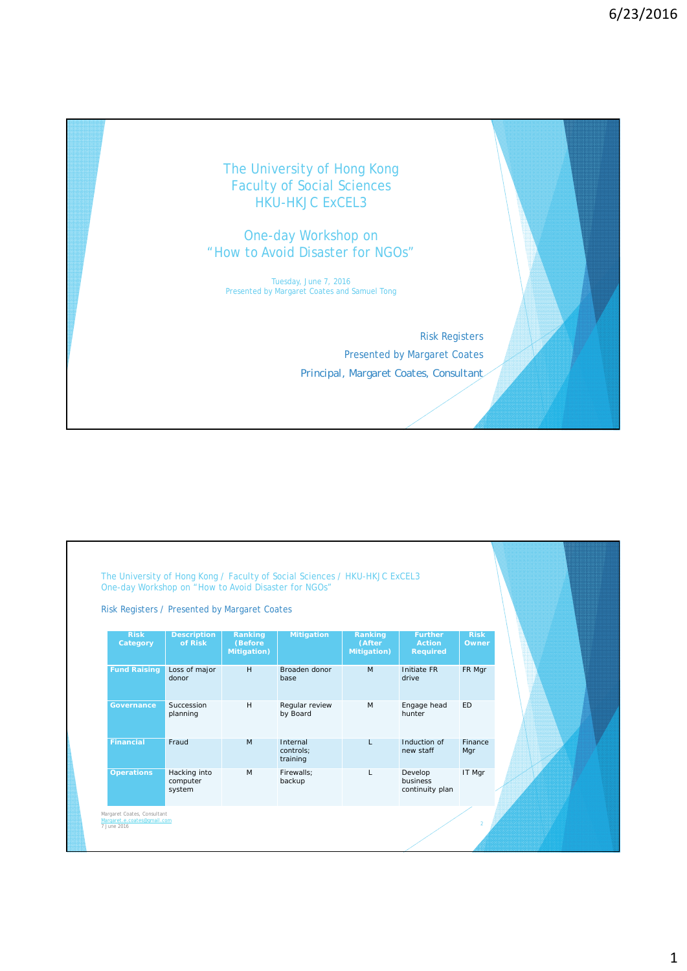## The University of Hong Kong Faculty of Social Sciences **HKU-HKJC ExCEL3**

One-day Workshop on "How to Avoid Disaster for NGOs"

Tuesday, June 7, 2016 Presented by Margaret Coates and Samuel Tong

> Risk Registers Presented by Margaret Coates *Principal, Margaret Coates, Consultant*

|                         |                                    | Risk Registers / Presented by Margaret Coates |                                   |                                          |                                                    |                      |  |
|-------------------------|------------------------------------|-----------------------------------------------|-----------------------------------|------------------------------------------|----------------------------------------------------|----------------------|--|
| <b>Risk</b><br>Category | <b>Description</b><br>of Risk      | Ranking<br>(Before<br><b>Mitigation</b> )     | <b>Mitigation</b>                 | Ranking<br>(After<br><b>Mitigation</b> ) | <b>Further</b><br><b>Action</b><br><b>Required</b> | <b>Risk</b><br>Owner |  |
| <b>Fund Raising</b>     | Loss of major<br>donor             | H                                             | Broaden donor<br>base             | M                                        | Initiate FR<br>drive                               | FR Mgr               |  |
| <b>Governance</b>       | Succession<br>planning             | H                                             | Regular review<br>by Board        | M                                        | Engage head<br>hunter                              | <b>ED</b>            |  |
| <b>Financial</b>        | Fraud                              | M                                             | Internal<br>controls:<br>training | L                                        | Induction of<br>new staff                          | Finance<br>Mgr       |  |
| <b>Operations</b>       | Hacking into<br>computer<br>system | M                                             | Firewalls:<br>backup              | L                                        | Develop<br>business<br>continuity plan             | IT Mgr               |  |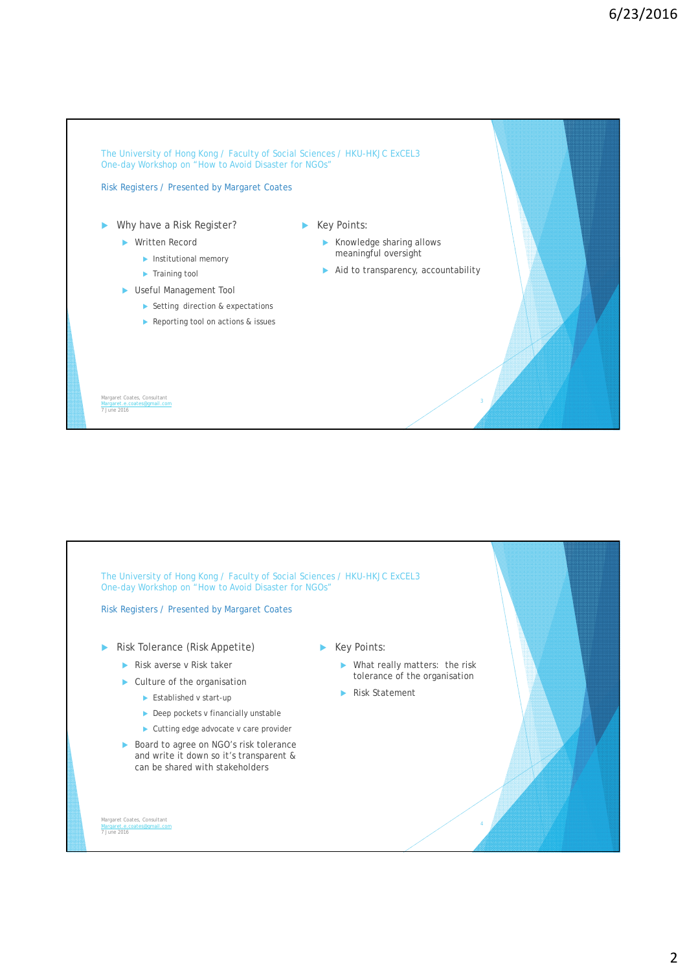

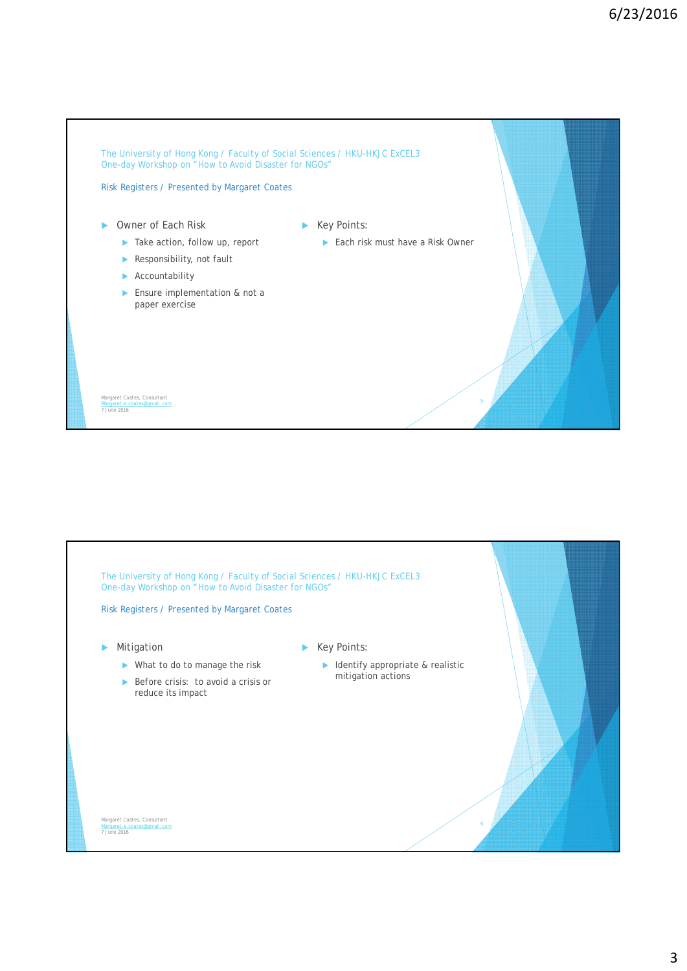